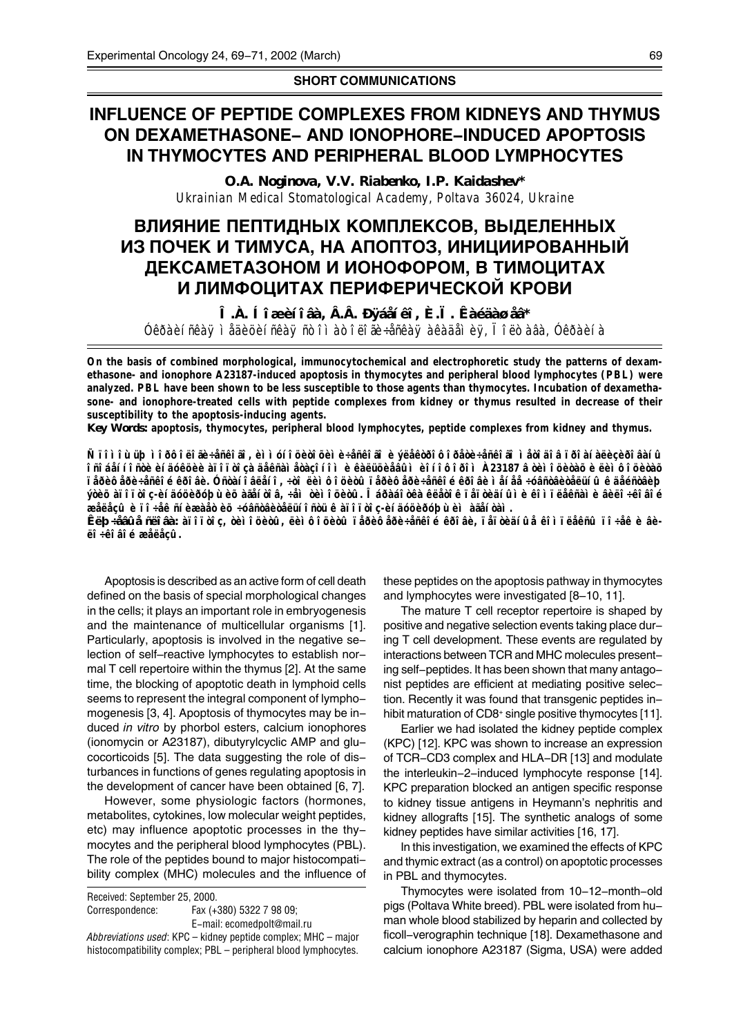### **SHORT COMMUNICATIONS**

# **INFLUENCE OF PEPTIDE COMPLEXES FROM KIDNEYS AND THYMUS ON DEXAMETHASONE- AND IONOPHORE-INDUCED APOPTOSIS IN THYMOCYTES AND PERIPHERAL BLOOD LYMPHOCYTES**

*O.A. Noginova, V.V. Riabenko, I.P. Kaidashev\* Ukrainian Medical Stomatological Academy, Poltava 36024, Ukraine*

## **ВЛИЯНИЕ ПЕПТИДНЫХ КОМПЛЕКСОВ, ВЫДЕЛЕННЫХ** <u>ИЗ ПОЧЕК И ТИМУСА, НА АПОПТОЗ, ИНИЦИИРОВАННЫЙ</u> ДЕКСАМЕТАЗОНОМ И ИОНОФОРОМ, В ТИМОЦИТАХ <u>И ЛИМФОЦИТАХ ПЕРИФЕРИЧЕСКОЙ КРОВИ</u>

*Î.À. Íîæèíîâà, Â.Â. Ðÿáåíêî, È.Ï. Êàéäàøåâ\* Óêðàèíñêàÿ ìåäèöèíñêàÿ ñòîìàòîëîãè÷åñêàÿ àêàäåìèÿ, Ïîëòàâà, Óêðàèíà*

**On the basis of combined morphological, immunocytochemical and electrophoretic study the patterns of dexamethasone- and ionophore A23187-induced apoptosis in thymocytes and peripheral blood lymphocytes (PBL) were analyzed. PBL have been shown to be less susceptible to those agents than thymocytes. Incubation of dexamethasone- and ionophore-treated cells with peptide complexes from kidney or thymus resulted in decrease of their susceptibility to the apoptosis-inducing agents.**

*Key Words:* **apoptosis, thymocytes, peripheral blood lymphocytes, peptide complexes from kidney and thymus.**

**Ñ ïîìîùüþ ìîðôîëîãè÷åñêîãî, èììóíîöèòîõèìè÷åñêîãî è ýëåêòðîôîðåòè÷åñêîãî ìåòîäîâ ïðîàíàëèçèðîâàíû îñîáåííîñòè èíäóêöèè àïîïòîçà äåêñàìåòàçîíîì è êàëüöèåâûì èîíîôîðîì À23187 â òèìîöèòàõ è ëèìôîöèòàõ ïåðèôåðè÷åñêîé êðîâè. Óñòàíîâëåíî, ÷òî ëèìôîöèòû ïåðèôåðè÷åñêîé êðîâè ìåíåå ÷óâñòâèòåëüíû ê äåéñòâèþ ýòèõ àïîïòîç-èíäóöèðóþùèõ àãåíòîâ, ÷åì òèìîöèòû. Îáðàáîòêà êëåòîê ïåïòèäíûìè êîìïëåêñàìè âèëî÷êîâîé æåëåçû è ïî÷åê ñíèæàåò èõ ÷óâñòâèòåëüíîñòü ê àïîïòîç-èíäóöèðóþùèì àãåíòàì.**

*Êëþ÷åâûå ñëîâà:* **àïîïòîç, òèìîöèòû, ëèìôîöèòû ïåðèôåðè÷åñêîé êðîâè, ïåïòèäíûå êîìïëåêñû ïî÷åê è âèëî÷êîâîé æåëåçû.**

Apoptosis is described as an active form of cell death defined on the basis of special morphological changes in the cells; it plays an important role in embryogenesis and the maintenance of multicellular organisms [1]. Particularly, apoptosis is involved in the negative selection of self-reactive lymphocytes to establish normal T cell repertoire within the thymus [2]. At the same time, the blocking of apoptotic death in lymphoid cells seems to represent the integral component of lymphomogenesis [3, 4]. Apoptosis of thymocytes may be induced *in vitro* by phorbol esters, calcium ionophores (ionomycin or A23187), dibutyrylcyclic AMP and glucocorticoids [5]. The data suggesting the role of disturbances in functions of genes regulating apoptosis in the development of cancer have been obtained [6, 7].

However, some physiologic factors (hormones, metabolites, cytokines, low molecular weight peptides, etc) may influence apoptotic processes in the thymocytes and the peripheral blood lymphocytes (PBL). The role of the peptides bound to major histocompatibility complex (MHC) molecules and the influence of

Received: September 25, 2000. Correspondence: Fax (+380) 5322 7 98 09; E-mail: ecomedpolt@mail.ru *Abbreviations used*: KPC - kidney peptide complex; MHC - major histocompatibility complex; PBL – peripheral blood lymphocytes. these peptides on the apoptosis pathway in thymocytes and lymphocytes were investigated [8-10, 11].

The mature T cell receptor repertoire is shaped by positive and negative selection events taking place during T cell development. These events are regulated by interactions between TCR and MHC molecules presenting self-peptides. It has been shown that many antagonist peptides are efficient at mediating positive selection. Recently it was found that transgenic peptides inhibit maturation of CD8+ single positive thymocytes [11].

Earlier we had isolated the kidney peptide complex (KPC) [12]. KPC was shown to increase an expression of TCR-CD3 complex and HLA-DR [13] and modulate the interleukin-2-induced lymphocyte response [14]. KPC preparation blocked an antigen specific response to kidney tissue antigens in Heymann's nephritis and kidney allografts [15]. The synthetic analogs of some kidney peptides have similar activities [16, 17].

In this investigation, we examined the effects of KPC and thymic extract (as a control) on apoptotic processes in PBL and thymocytes.

Thymocytes were isolated from 10-12-month-old pigs (Poltava White breed). PBL were isolated from human whole blood stabilized by heparin and collected by ficoll-verographin technique [18]. Dexamethasone and calcium ionophore A23187 (Sigma, USA) were added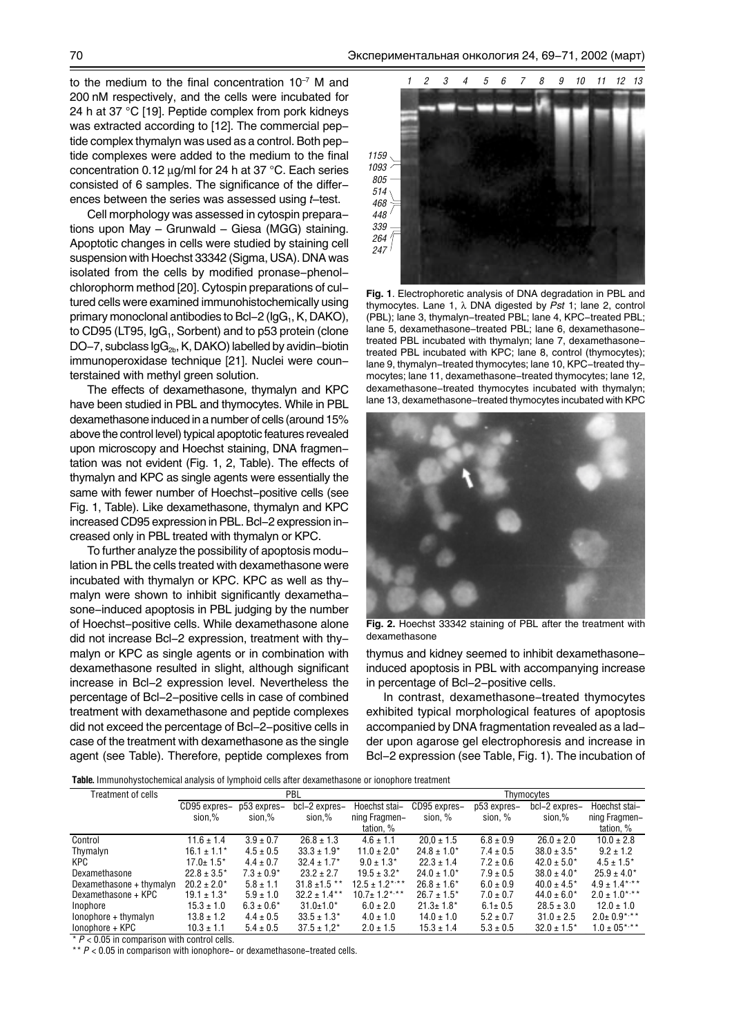to the medium to the final concentration  $10^{-7}$  M and 200 nM respectively, and the cells were incubated for 24 h at 37 °C [19]. Peptide complex from pork kidneys was extracted according to [12]. The commercial peptide complex thymalyn was used as a control. Both peptide complexes were added to the medium to the final concentration 0.12 µg/ml for 24 h at 37 °C. Each series consisted of 6 samples. The significance of the differences between the series was assessed using *t*-test.

Cell morphology was assessed in cytospin preparations upon May  $-$  Grunwald  $-$  Giesa (MGG) staining. Apoptotic changes in cells were studied by staining cell suspension with Hoechst 33342 (Sigma, USA). DNA was isolated from the cells by modified pronase-phenolchlorophorm method [20]. Cytospin preparations of cultured cells were examined immunohistochemically using primary monoclonal antibodies to Bcl-2 ( $\lg G_1$ , K, DAKO), to CD95 (LT95,  $\lg G_1$ , Sorbent) and to p53 protein (clone DO-7, subclass  $\lg G_{2b}$ , K, DAKO) labelled by avidin-biotin immunoperoxidase technique [21]. Nuclei were counterstained with methyl green solution.

The effects of dexamethasone, thymalyn and KPC have been studied in PBL and thymocytes. While in PBL dexamethasone induced in a number of cells (around 15% above the control level) typical apoptotic features revealed upon microscopy and Hoechst staining, DNA fragmentation was not evident (Fig. 1, 2, Table). The effects of thymalyn and KPC as single agents were essentially the same with fewer number of Hoechst-positive cells (see Fig. 1, Table). Like dexamethasone, thymalyn and KPC increased CD95 expression in PBL. Bcl-2 expression increased only in PBL treated with thymalyn or KPC.

To further analyze the possibility of apoptosis modulation in PBL the cells treated with dexamethasone were incubated with thymalyn or KPC. KPC as well as thymalyn were shown to inhibit significantly dexamethasone-induced apoptosis in PBL judging by the number of Hoechst-positive cells. While dexamethasone alone did not increase Bcl-2 expression, treatment with thymalyn or KPC as single agents or in combination with dexamethasone resulted in slight, although significant increase in Bcl-2 expression level. Nevertheless the percentage of Bcl-2-positive cells in case of combined treatment with dexamethasone and peptide complexes did not exceed the percentage of Bcl-2-positive cells in case of the treatment with dexamethasone as the single agent (see Table). Therefore, peptide complexes from



**Fig. 1**. Electrophoretic analysis of DNA degradation in PBL and thymocytes. Lane 1, λ DNA digested by *Pst* 1; lane 2, control (PBL); lane 3, thymalyn-treated PBL; lane 4, KPC-treated PBL; lane 5, dexamethasone-treated PBL; lane 6, dexamethasonetreated PBL incubated with thymalyn; lane 7, dexamethasonetreated PBL incubated with KPC; lane 8, control (thymocytes); lane 9, thymalyn-treated thymocytes; lane 10, KPC-treated thymocytes; lane 11, dexamethasone-treated thymocytes; lane 12, dexamethasone-treated thymocytes incubated with thymalyn; lane 13, dexamethasone-treated thymocytes incubated with KPC



**Fig. 2.** Hoechst 33342 staining of PBL after the treatment with dexamethasone

thymus and kidney seemed to inhibit dexamethasoneinduced apoptosis in PBL with accompanying increase in percentage of Bcl-2-positive cells.

In contrast, dexamethasone-treated thymocytes exhibited typical morphological features of apoptosis accompanied by DNA fragmentation revealed as a ladder upon agarose gel electrophoresis and increase in Bcl-2 expression (see Table, Fig. 1). The incubation of

**Table.** Immunohystochemical analysis of lymphoid cells after dexamethasone or ionophore treatment

| Treatment of cells       | PBL              |                |                   |                     | Thymocytes       |               |                  |                    |
|--------------------------|------------------|----------------|-------------------|---------------------|------------------|---------------|------------------|--------------------|
|                          | CD95 expres–     | p53 expres-    | bcl-2 expres-     | Hoechst stai-       | CD95 expres–     | p53 expres-   | bcl-2 expres-    | Hoechst stai-      |
|                          | sion,%           | sion,%         | sion,%            | ning Fragmen-       | sion, %          | sion, %       | sion,%           | ning Fragmen-      |
|                          |                  |                |                   | tation, %           |                  |               |                  | tation, %          |
| Control                  | $11.6 \pm 1.4$   | $3.9 \pm 0.7$  | $26.8 \pm 1.3$    | $4.6 \pm 1.1$       | $20.0 \pm 1.5$   | $6.8 \pm 0.9$ | $26.0 \pm 2.0$   | $10.0 + 2.8$       |
| Thymalyn                 | $16.1 \pm 1.1*$  | $4.5 \pm 0.5$  | $33.3 \pm 1.9^*$  | $11.0 \pm 2.0^*$    | $24.8 \pm 1.0^*$ | $7.4 \pm 0.5$ | $38.0 \pm 3.5^*$ | $9.2 \pm 1.2$      |
| <b>KPC</b>               | $17.0 \pm 1.5^*$ | $4.4 \pm 0.7$  | $32.4 \pm 1.7^*$  | $9.0 \pm 1.3^*$     | $22.3 \pm 1.4$   | $7.2 \pm 0.6$ | $42.0 \pm 5.0^*$ | $4.5 \pm 1.5^*$    |
| Dexamethasone            | $22.8 \pm 3.5^*$ | $7.3 \pm 0.9*$ | $23.2 \pm 2.7$    | $19.5 \pm 3.2^*$    | $24.0 \pm 1.0^*$ | $7.9 \pm 0.5$ | $38.0 \pm 4.0^*$ | $25.9 \pm 4.0*$    |
| Dexamethasone + thymalyn | $20.2 \pm 2.0*$  | $5.8 \pm 1.1$  | $31.8 \pm 1.5$ ** | $12.5 \pm 1.2$ ***  | $26.8 \pm 1.6^*$ | $6.0 \pm 0.9$ | $40.0 \pm 4.5^*$ | $4.9 \pm 1.4***$   |
| Dexamethasone + KPC      | $19.1 \pm 1.3^*$ | $5.9 \pm 1.0$  | $32.2 \pm 1.4$ ** | $10.7 \pm 1.2$ *,** | $26.7 \pm 1.5^*$ | $7.0 \pm 0.7$ | $44.0 \pm 6.0*$  | $2.0 \pm 1.0$ *,** |
| Inophore                 | $15.3 \pm 1.0$   | $6.3 \pm 0.6*$ | $31.0 \pm 1.0^*$  | $6.0 \pm 2.0$       | $21.3 \pm 1.8^*$ | $6.1 \pm 0.5$ | $28.5 \pm 3.0$   | $12.0 \pm 1.0$     |
| lonophore + thymalyn     | $13.8 \pm 1.2$   | $4.4 \pm 0.5$  | $33.5 \pm 1.3^*$  | $4.0 \pm 1.0$       | $14.0 \pm 1.0$   | $5.2 \pm 0.7$ | $31.0 \pm 2.5$   | $2.0 \pm 0.9$ *,** |
| lonophore + KPC          | $10.3 \pm 1.1$   | $5.4 \pm 0.5$  | $37.5 \pm 1.2^*$  | $2.0 \pm 1.5$       | $15.3 \pm 1.4$   | $5.3 \pm 0.5$ | $32.0 \pm 1.5^*$ | $1.0 \pm 05$ *,**  |

 $P < 0.05$  in comparison with control cells.

\*\*  $P$  < 0.05 in comparison with ionophore- or dexamethasone-treated cells.